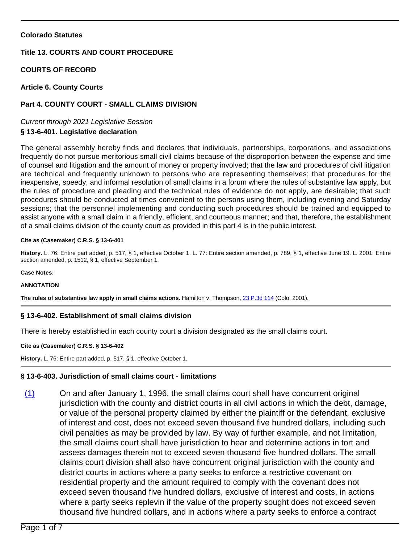# **Colorado Statutes**

# **Title 13. COURTS AND COURT PROCEDURE**

# **COURTS OF RECORD**

# **Article 6. County Courts**

# **Part 4. COUNTY COURT - SMALL CLAIMS DIVISION**

Current through 2021 Legislative Session

# **§ 13-6-401. Legislative declaration**

The general assembly hereby finds and declares that individuals, partnerships, corporations, and associations frequently do not pursue meritorious small civil claims because of the disproportion between the expense and time of counsel and litigation and the amount of money or property involved; that the law and procedures of civil litigation are technical and frequently unknown to persons who are representing themselves; that procedures for the inexpensive, speedy, and informal resolution of small claims in a forum where the rules of substantive law apply, but the rules of procedure and pleading and the technical rules of evidence do not apply, are desirable; that such procedures should be conducted at times convenient to the persons using them, including evening and Saturday sessions; that the personnel implementing and conducting such procedures should be trained and equipped to assist anyone with a small claim in a friendly, efficient, and courteous manner; and that, therefore, the establishment of a small claims division of the county court as provided in this part 4 is in the public interest.

### **Cite as (Casemaker) C.R.S. § 13-6-401**

**History.** L. 76: Entire part added, p. 517, § 1, effective October 1. L. 77: Entire section amended, p. 789, § 1, effective June 19. L. 2001: Entire section amended, p. 1512, § 1, effective September 1.

#### **Case Notes:**

### **ANNOTATION**

**The rules of substantive law apply in small claims actions.** Hamilton v. Thompson, [23 P.3d 114](/NLLXML/getcase.asp?citation=23%20P.3d%20114ampamp;casedate=2001-05-14ampamp;statecd=COampamp;bookname=Case_Lawampamp;noheader=0ampamp;nojumpmsg=0) (Colo. 2001).

# **§ 13-6-402. Establishment of small claims division**

There is hereby established in each county court a division designated as the small claims court.

### **Cite as (Casemaker) C.R.S. § 13-6-402**

**History.** L. 76: Entire part added, p. 517, § 1, effective October 1.

# **§ 13-6-403. Jurisdiction of small claims court - limitations**

(1) On and after January 1, 1996, the small claims court shall have concurrent original jurisdiction with the county and district courts in all civil actions in which the debt, damage, or value of the personal property claimed by either the plaintiff or the defendant, exclusive of interest and cost, does not exceed seven thousand five hundred dollars, including such civil penalties as may be provided by law. By way of further example, and not limitation, the small claims court shall have jurisdiction to hear and determine actions in tort and assess damages therein not to exceed seven thousand five hundred dollars. The small claims court division shall also have concurrent original jurisdiction with the county and district courts in actions where a party seeks to enforce a restrictive covenant on residential property and the amount required to comply with the covenant does not exceed seven thousand five hundred dollars, exclusive of interest and costs, in actions where a party seeks replevin if the value of the property sought does not exceed seven thousand five hundred dollars, and in actions where a party seeks to enforce a contract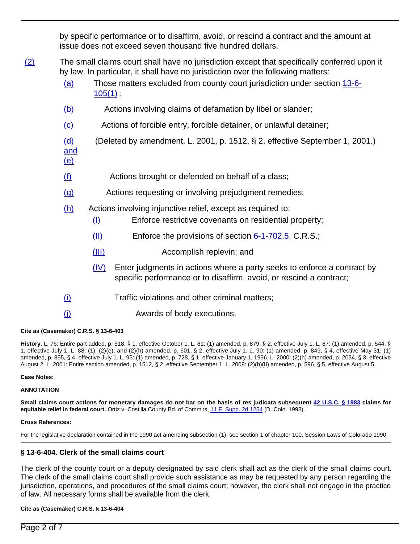by specific performance or to disaffirm, avoid, or rescind a contract and the amount at issue does not exceed seven thousand five hundred dollars.

(2) The small claims court shall have no jurisdiction except that specifically conferred upon it by law. In particular, it shall have no jurisdiction over the following matters:

- (a) Those matters excluded from county court jurisdiction under section [13-6-](/NLLXML/getcode.asp?statecd=COampamp;codesec=13-6-105ampamp;sessionyr=2021ampamp;Title=13ampamp;datatype=Sampamp;noheader=0ampamp;nojumpmsg=0ampamp;nojumpmsg=0#13-6-105(1))  $105(1)$  ;
- (b) Actions involving claims of defamation by libel or slander;
- (c) Actions of forcible entry, forcible detainer, or unlawful detainer;
- (d) (Deleted by amendment, L. 2001, p. 1512, § 2, effective September 1, 2001.)
- $(f)$  Actions brought or defended on behalf of a class;
- (g) Actions requesting or involving prejudgment remedies;
- (h) Actions involving injunctive relief, except as required to:
	- (I) Enforce restrictive covenants on residential property;
	- $(H)$  Enforce the provisions of section  $6-1-702.5$ , C.R.S.;
	- (III) Accomplish replevin; and
	- $(IV)$  Enter judgments in actions where a party seeks to enforce a contract by specific performance or to disaffirm, avoid, or rescind a contract;
- (i) Traffic violations and other criminal matters;
- (j) Awards of body executions.

# **Cite as (Casemaker) C.R.S. § 13-6-403**

and (e)

**History.** L. 76: Entire part added, p. 518, § 1, effective October 1. L. 81: (1) amended, p. 879, § 2, effective July 1. L. 87: (1) amended, p. 544, § 1, effective July 1. L. 88: (1), (2)(e), and (2)(h) amended, p. 601, § 2, effective July 1. L. 90: (1) amended, p. 849, § 4, effective May 31; (1) amended, p. 855, § 4, effective July 1. L. 95: (1) amended, p. 728, § 1, effective January 1, 1996. L. 2000: (2)(h) amended, p. 2034, § 3, effective August 2. L. 2001: Entire section amended, p. 1512, § 2, effective September 1. L. 2008: (2)(h)(II) amended, p. 596, § 5, effective August 5.

### **Case Notes:**

### **ANNOTATION**

**Small claims court actions for monetary damages do not bar on the basis of res judicata subsequent [42 U.S.C. § 1983](/NLLXML/getcode.asp?statecd=COampamp;codesec=6-1-702.5ampamp;sessionyr=2021ampamp;Title=6ampamp;datatype=Sampamp;noheader=0ampamp;nojumpmsg=0) claims for equitable relief in federal court.** Ortiz v. Costilla County Bd. of Comm'rs, [11 F. Supp. 2d 1254](/NLLXML/getcase.asp?citation=11%20F.%20Supp.%202d%201254ampamp;casedate=1998-07-20ampamp;statecd=USampamp;bookname=District_Court_Opinionsampamp;noheader=0ampamp;nojumpmsg=0) (D. Colo. 1998).

### **Cross References:**

For the legislative declaration contained in the 1990 act amending subsection (1), see section 1 of chapter 100, Session Laws of Colorado 1990.

# **§ 13-6-404. Clerk of the small claims court**

The clerk of the county court or a deputy designated by said clerk shall act as the clerk of the small claims court. The clerk of the small claims court shall provide such assistance as may be requested by any person regarding the jurisdiction, operations, and procedures of the small claims court; however, the clerk shall not engage in the practice of law. All necessary forms shall be available from the clerk.

# **Cite as (Casemaker) C.R.S. § 13-6-404**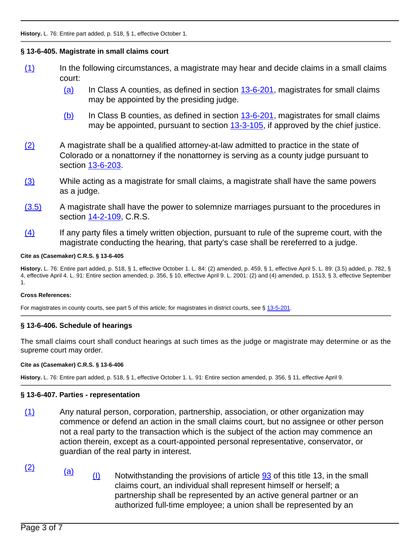# **§ 13-6-405. Magistrate in small claims court**

- (1) In the following circumstances, a magistrate may hear and decide claims in a small claims court:
	- $(a)$  In Class A counties, as defined in section  $13-6-201$ , magistrates for small claims may be appointed by the presiding judge.
	- (b) In Class B counties, as defined in section [13-6-201](/NLLXML/getcode.asp?statecd=COampamp;codesec=13-6-201ampamp;sessionyr=2021ampamp;Title=13ampamp;datatype=Sampamp;noheader=0ampamp;nojumpmsg=0), magistrates for small claims may be appointed, pursuant to section [13-3-105,](/NLLXML/getcode.asp?statecd=COampamp;codesec=13-3-105ampamp;sessionyr=2021ampamp;Title=13ampamp;datatype=Sampamp;noheader=0ampamp;nojumpmsg=0) if approved by the chief justice.
- (2) A magistrate shall be a qualified attorney-at-law admitted to practice in the state of Colorado or a nonattorney if the nonattorney is serving as a county judge pursuant to section [13-6-203](/NLLXML/getcode.asp?statecd=COampamp;codesec=13-6-203ampamp;sessionyr=2021ampamp;Title=13ampamp;datatype=Sampamp;noheader=0ampamp;nojumpmsg=0).
- (3) While acting as a magistrate for small claims, a magistrate shall have the same powers as a judge.
- (3.5) A magistrate shall have the power to solemnize marriages pursuant to the procedures in section [14-2-109](/NLLXML/getcode.asp?statecd=COampamp;codesec=14-2-109ampamp;sessionyr=2021ampamp;Title=14ampamp;datatype=Sampamp;noheader=0ampamp;nojumpmsg=0), C.R.S.
- $(4)$  If any party files a timely written objection, pursuant to rule of the supreme court, with the magistrate conducting the hearing, that party's case shall be rereferred to a judge.

# **Cite as (Casemaker) C.R.S. § 13-6-405**

**History.** L. 76: Entire part added, p. 518, § 1, effective October 1. L. 84: (2) amended, p. 459, § 1, effective April 5. L. 89: (3.5) added, p. 782, § 4, effective April 4. L. 91: Entire section amended, p. 356, § 10, effective April 9. L. 2001: (2) and (4) amended, p. 1513, § 3, effective September 1.

### **Cross References:**

For magistrates in county courts, see part 5 of this article; for magistrates in district courts, see § [13-5-201](/NLLXML/getcode.asp?statecd=COampamp;codesec=13-5-201ampamp;sessionyr=2021ampamp;Title=13ampamp;datatype=Sampamp;noheader=0ampamp;nojumpmsg=0).

# **§ 13-6-406. Schedule of hearings**

The small claims court shall conduct hearings at such times as the judge or magistrate may determine or as the supreme court may order.

# **Cite as (Casemaker) C.R.S. § 13-6-406**

**History.** L. 76: Entire part added, p. 518, § 1, effective October 1. L. 91: Entire section amended, p. 356, § 11, effective April 9.

# **§ 13-6-407. Parties - representation**

- (1) Any natural person, corporation, partnership, association, or other organization may commence or defend an action in the small claims court, but no assignee or other person not a real party to the transaction which is the subject of the action may commence an action therein, except as a court-appointed personal representative, conservator, or guardian of the real party in interest.
- 
- $\frac{(2)}{(a)}$  (a) (I) Notwithstanding the provisions of article  $\frac{93}{3}$  $\frac{93}{3}$  $\frac{93}{3}$  of this title 13, in the small claims court, an individual shall represent himself or herself; a partnership shall be represented by an active general partner or an authorized full-time employee; a union shall be represented by an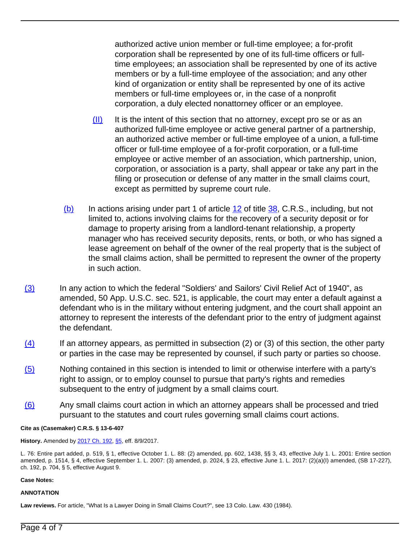authorized active union member or full-time employee; a for-profit corporation shall be represented by one of its full-time officers or fulltime employees; an association shall be represented by one of its active members or by a full-time employee of the association; and any other kind of organization or entity shall be represented by one of its active members or full-time employees or, in the case of a nonprofit corporation, a duly elected nonattorney officer or an employee.

- $(H)$  It is the intent of this section that no attorney, except pro se or as an authorized full-time employee or active general partner of a partnership, an authorized active member or full-time employee of a union, a full-time officer or full-time employee of a for-profit corporation, or a full-time employee or active member of an association, which partnership, union, corporation, or association is a party, shall appear or take any part in the filing or prosecution or defense of any matter in the small claims court, except as permitted by supreme court rule.
- (b) In actions arising under part 1 of article [12](/NLLXML/getcode.asp?statecd=COampamp;codesec=article12ampamp;sessionyr=2021ampamp;Title=38ampamp;datatype=Sampamp;noheader=0ampamp;nojumpmsg=0) of title [38,](/NLLXML/getcode.asp?statecd=COampamp;codesec=title38ampamp;sessionyr=2021ampamp;Title=38ampamp;datatype=Sampamp;noheader=0ampamp;nojumpmsg=0) C.R.S., including, but not limited to, actions involving claims for the recovery of a security deposit or for damage to property arising from a landlord-tenant relationship, a property manager who has received security deposits, rents, or both, or who has signed a lease agreement on behalf of the owner of the real property that is the subject of the small claims action, shall be permitted to represent the owner of the property in such action.
- (3) In any action to which the federal "Soldiers' and Sailors' Civil Relief Act of 1940", as amended, 50 App. U.S.C. sec. 521, is applicable, the court may enter a default against a defendant who is in the military without entering judgment, and the court shall appoint an attorney to represent the interests of the defendant prior to the entry of judgment against the defendant.
- $(4)$  If an attorney appears, as permitted in subsection (2) or (3) of this section, the other party or parties in the case may be represented by counsel, if such party or parties so choose.
- (5) Nothing contained in this section is intended to limit or otherwise interfere with a party's right to assign, or to employ counsel to pursue that party's rights and remedies subsequent to the entry of judgment by a small claims court.
- (6) Any small claims court action in which an attorney appears shall be processed and tried pursuant to the statutes and court rules governing small claims court actions.

### **Cite as (Casemaker) C.R.S. § 13-6-407**

**History.** Amended by [2017 Ch. 192,](/nllxml/getact.asp?statecd=COampamp;sessionyr=2017ampamp;actid=SB%20227ampamp;userid=REPLACE_LOGINIDampamp;noheader=0ampamp;nojumpmsg=0) [§5,](/nllxml/getact.asp?statecd=COampamp;sessionyr=2017ampamp;actid=SB%20227ampamp;userid=REPLACE_LOGINIDampamp;noheader=0ampamp;nojumpmsg=0#ActSec5) eff. 8/9/2017.

L. 76: Entire part added, p. 519, § 1, effective October 1. L. 88: (2) amended, pp. 602, 1438, §§ 3, 43, effective July 1. L. 2001: Entire section amended, p. 1514, § 4, effective September 1. L. 2007: (3) amended, p. 2024, § 23, effective June 1. L. 2017: (2)(a)(I) amended, (SB 17-227), ch. 192, p. 704, § 5, effective August 9.

### **Case Notes:**

### **ANNOTATION**

**Law reviews.** For article, "What Is a Lawyer Doing in Small Claims Court?", see 13 Colo. Law. 430 (1984).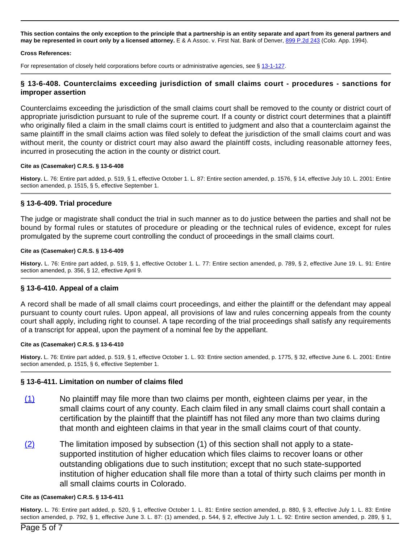**This section contains the only exception to the principle that a partnership is an entity separate and apart from its general partners and may be represented in court only by a licensed attorney.** E & A Assoc. v. First Nat. Bank of Denver, [899 P.2d 243](/NLLXML/getcase.asp?citation=899%20P.2d%20243ampamp;casedate=1994-11-03ampamp;statecd=COampamp;bookname=Case_Lawampamp;noheader=0ampamp;nojumpmsg=0) (Colo. App. 1994).

#### **Cross References:**

For representation of closely held corporations before courts or administrative agencies, see § [13-1-127](/NLLXML/getcode.asp?statecd=COampamp;codesec=13-1-127ampamp;sessionyr=2021ampamp;Title=13ampamp;datatype=Sampamp;noheader=0ampamp;nojumpmsg=0).

# **§ 13-6-408. Counterclaims exceeding jurisdiction of small claims court - procedures - sanctions for improper assertion**

Counterclaims exceeding the jurisdiction of the small claims court shall be removed to the county or district court of appropriate jurisdiction pursuant to rule of the supreme court. If a county or district court determines that a plaintiff who originally filed a claim in the small claims court is entitled to judgment and also that a counterclaim against the same plaintiff in the small claims action was filed solely to defeat the jurisdiction of the small claims court and was without merit, the county or district court may also award the plaintiff costs, including reasonable attorney fees, incurred in prosecuting the action in the county or district court.

#### **Cite as (Casemaker) C.R.S. § 13-6-408**

**History.** L. 76: Entire part added, p. 519, § 1, effective October 1. L. 87: Entire section amended, p. 1576, § 14, effective July 10. L. 2001: Entire section amended, p. 1515, § 5, effective September 1.

### **§ 13-6-409. Trial procedure**

The judge or magistrate shall conduct the trial in such manner as to do justice between the parties and shall not be bound by formal rules or statutes of procedure or pleading or the technical rules of evidence, except for rules promulgated by the supreme court controlling the conduct of proceedings in the small claims court.

#### **Cite as (Casemaker) C.R.S. § 13-6-409**

**History.** L. 76: Entire part added, p. 519, § 1, effective October 1. L. 77: Entire section amended, p. 789, § 2, effective June 19. L. 91: Entire section amended, p. 356, § 12, effective April 9.

# **§ 13-6-410. Appeal of a claim**

A record shall be made of all small claims court proceedings, and either the plaintiff or the defendant may appeal pursuant to county court rules. Upon appeal, all provisions of law and rules concerning appeals from the county court shall apply, including right to counsel. A tape recording of the trial proceedings shall satisfy any requirements of a transcript for appeal, upon the payment of a nominal fee by the appellant.

#### **Cite as (Casemaker) C.R.S. § 13-6-410**

**History.** L. 76: Entire part added, p. 519, § 1, effective October 1. L. 93: Entire section amended, p. 1775, § 32, effective June 6. L. 2001: Entire section amended, p. 1515, § 6, effective September 1.

### **§ 13-6-411. Limitation on number of claims filed**

- (1) No plaintiff may file more than two claims per month, eighteen claims per year, in the small claims court of any county. Each claim filed in any small claims court shall contain a certification by the plaintiff that the plaintiff has not filed any more than two claims during that month and eighteen claims in that year in the small claims court of that county.
- $(2)$  The limitation imposed by subsection (1) of this section shall not apply to a statesupported institution of higher education which files claims to recover loans or other outstanding obligations due to such institution; except that no such state-supported institution of higher education shall file more than a total of thirty such claims per month in all small claims courts in Colorado.

#### **Cite as (Casemaker) C.R.S. § 13-6-411**

**History.** L. 76: Entire part added, p. 520, § 1, effective October 1. L. 81: Entire section amended, p. 880, § 3, effective July 1. L. 83: Entire section amended, p. 792, § 1, effective June 3. L. 87: (1) amended, p. 544, § 2, effective July 1. L. 92: Entire section amended, p. 289, § 1,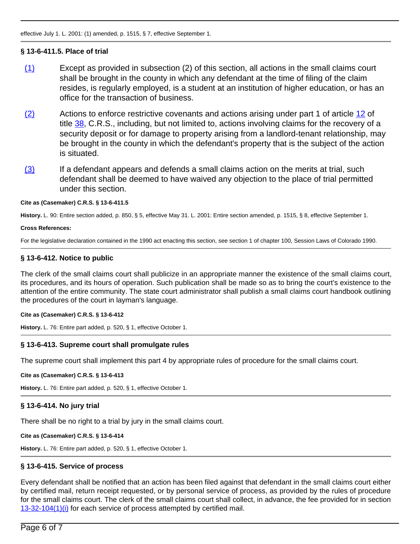# **§ 13-6-411.5. Place of trial**

- (1) Except as provided in subsection (2) of this section, all actions in the small claims court shall be brought in the county in which any defendant at the time of filing of the claim resides, is regularly employed, is a student at an institution of higher education, or has an office for the transaction of business.
- (2) Actions to enforce restrictive covenants and actions arising under part 1 of article [12](/NLLXML/getcode.asp?statecd=COampamp;codesec=article12ampamp;sessionyr=2021ampamp;Title=38ampamp;datatype=Sampamp;noheader=0ampamp;nojumpmsg=0) of title  $38$ , C.R.S., including, but not limited to, actions involving claims for the recovery of a security deposit or for damage to property arising from a landlord-tenant relationship, may be brought in the county in which the defendant's property that is the subject of the action is situated.
- $(3)$  If a defendant appears and defends a small claims action on the merits at trial, such defendant shall be deemed to have waived any objection to the place of trial permitted under this section.

### **Cite as (Casemaker) C.R.S. § 13-6-411.5**

**History.** L. 90: Entire section added, p. 850, § 5, effective May 31. L. 2001: Entire section amended, p. 1515, § 8, effective September 1.

#### **Cross References:**

For the legislative declaration contained in the 1990 act enacting this section, see section 1 of chapter 100, Session Laws of Colorado 1990.

# **§ 13-6-412. Notice to public**

The clerk of the small claims court shall publicize in an appropriate manner the existence of the small claims court, its procedures, and its hours of operation. Such publication shall be made so as to bring the court's existence to the attention of the entire community. The state court administrator shall publish a small claims court handbook outlining the procedures of the court in layman's language.

### **Cite as (Casemaker) C.R.S. § 13-6-412**

**History.** L. 76: Entire part added, p. 520, § 1, effective October 1.

# **§ 13-6-413. Supreme court shall promulgate rules**

The supreme court shall implement this part 4 by appropriate rules of procedure for the small claims court.

### **Cite as (Casemaker) C.R.S. § 13-6-413**

**History.** L. 76: Entire part added, p. 520, § 1, effective October 1.

# **§ 13-6-414. No jury trial**

There shall be no right to a trial by jury in the small claims court.

### **Cite as (Casemaker) C.R.S. § 13-6-414**

**History.** L. 76: Entire part added, p. 520, § 1, effective October 1.

# **§ 13-6-415. Service of process**

Every defendant shall be notified that an action has been filed against that defendant in the small claims court either by certified mail, return receipt requested, or by personal service of process, as provided by the rules of procedure for the small claims court. The clerk of the small claims court shall collect, in advance, the fee provided for in section [13-32-104\(1\)\(i\)](/NLLXML/getcode.asp?statecd=COampamp;codesec=13-32-104ampamp;sessionyr=2021ampamp;Title=13ampamp;datatype=Sampamp;noheader=0ampamp;nojumpmsg=0ampamp;nojumpmsg=0#13-32-104(1)(i)) for each service of process attempted by certified mail.